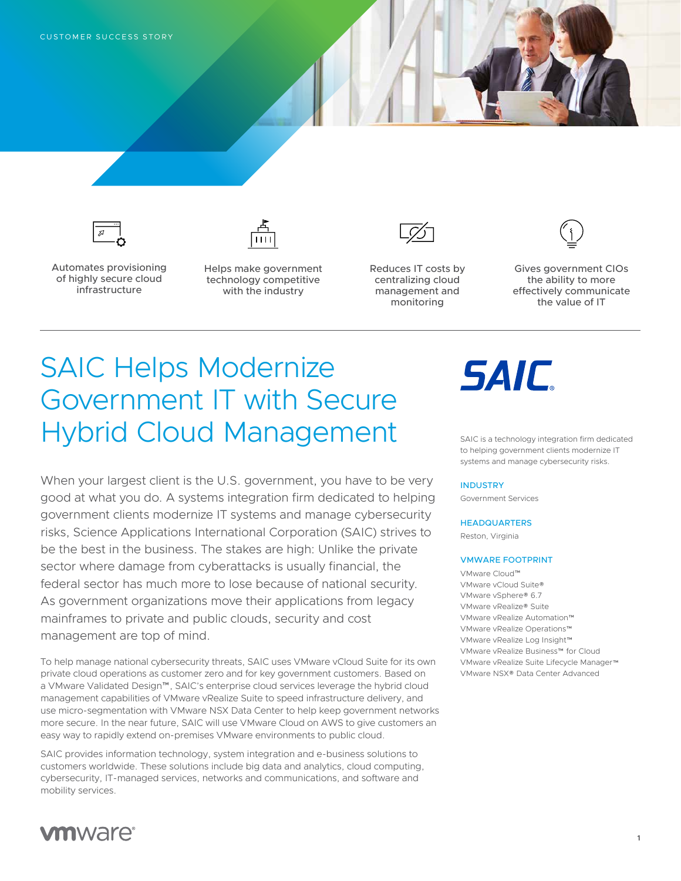

Automates provisioning of highly secure cloud infrastructure



Helps make government technology competitive with the industry

Reduces IT costs by centralizing cloud management and monitoring



Gives government CIOs the ability to more effectively communicate the value of IT

## SAIC Helps Modernize Government IT with Secure Hybrid Cloud Management

When your largest client is the U.S. government, you have to be very good at what you do. A systems integration firm dedicated to helping government clients modernize IT systems and manage cybersecurity risks, Science Applications International Corporation (SAIC) strives to be the best in the business. The stakes are high: Unlike the private sector where damage from cyberattacks is usually financial, the federal sector has much more to lose because of national security. As government organizations move their applications from legacy mainframes to private and public clouds, security and cost management are top of mind.

To help manage national cybersecurity threats, SAIC uses VMware vCloud Suite for its own private cloud operations as customer zero and for key government customers. Based on a VMware Validated Design™, SAIC's enterprise cloud services leverage the hybrid cloud management capabilities of VMware vRealize Suite to speed infrastructure delivery, and use micro-segmentation with VMware NSX Data Center to help keep government networks more secure. In the near future, SAIC will use VMware Cloud on AWS to give customers an easy way to rapidly extend on-premises VMware environments to public cloud.

SAIC provides information technology, system integration and e-business solutions to customers worldwide. These solutions include big data and analytics, cloud computing, cybersecurity, IT-managed services, networks and communications, and software and mobility services.

# **SAIC**

SAIC is a technology integration firm dedicated to helping government clients modernize IT systems and manage cybersecurity risks.

### INDUSTRY

Government Services

### **HEADQUARTERS**

Reston, Virginia

#### VMWARE FOOTPRINT

VMware Cloud™ VMware vCloud Suite® VMware vSphere® 6.7 VMware vRealize® Suite VMware vRealize Automation™ VMware vRealize Operations™ VMware vRealize Log Insight™ VMware vRealize Business™ for Cloud VMware vRealize Suite Lifecycle Manager™ VMware NSX® Data Center Advanced

### **vm**ware<sup>®</sup>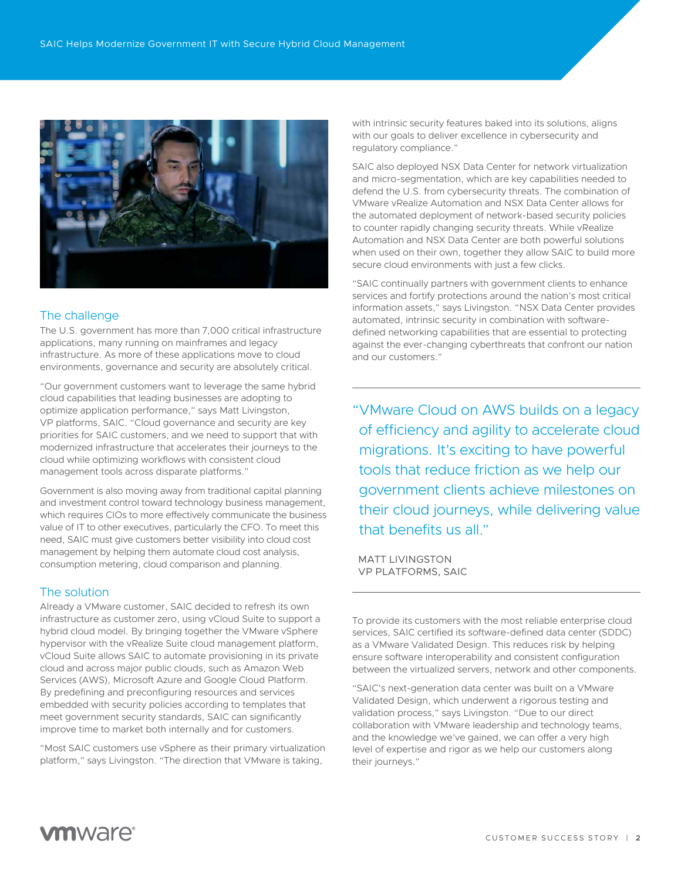

### The challenge

The U.S. government has more than 7,000 critical infrastructure applications, many running on mainframes and legacy infrastructure. As more of these applications move to cloud environments, governance and security are absolutely critical.

"Our government customers want to leverage the same hybrid cloud capabilities that leading businesses are adopting to optimize application performance," says Matt Livingston, VP platforms, SAIC. "Cloud governance and security are key priorities for SAIC customers, and we need to support that with modernized infrastructure that accelerates their journeys to the cloud while optimizing workflows with consistent cloud management tools across disparate platforms."

Government is also moving away from traditional capital planning and investment control toward technology business management, which requires CIOs to more effectively communicate the business value of IT to other executives, particularly the CFO. To meet this need, SAIC must give customers better visibility into cloud cost management by helping them automate cloud cost analysis, consumption metering, cloud comparison and planning.

### The solution

Already a VMware customer, SAIC decided to refresh its own infrastructure as customer zero, using vCloud Suite to support a hybrid cloud model. By bringing together the VMware vSphere hypervisor with the vRealize Suite cloud management platform, vCloud Suite allows SAIC to automate provisioning in its private cloud and across major public clouds, such as Amazon Web Services (AWS), Microsoft Azure and Google Cloud Platform. By predefining and preconfiguring resources and services embedded with security policies according to templates that meet government security standards, SAIC can significantly improve time to market both internally and for customers.

"Most SAIC customers use vSphere as their primary virtualization platform," says Livingston. "The direction that VMware is taking,

with intrinsic security features baked into its solutions, aligns with our goals to deliver excellence in cybersecurity and regulatory compliance."

SAIC also deployed NSX Data Center for network virtualization and micro-segmentation, which are key capabilities needed to defend the U.S. from cybersecurity threats. The combination of VMware vRealize Automation and NSX Data Center allows for the automated deployment of network-based security policies to counter rapidly changing security threats. While vRealize Automation and NSX Data Center are both powerful solutions when used on their own, together they allow SAIC to build more secure cloud environments with just a few clicks.

"SAIC continually partners with government clients to enhance services and fortify protections around the nation's most critical information assets," says Livingston. "NSX Data Center provides automated, intrinsic security in combination with softwaredefined networking capabilities that are essential to protecting against the ever-changing cyberthreats that confront our nation and our customers."

"VMware Cloud on AWS builds on a legacy of efficiency and agility to accelerate cloud migrations. It's exciting to have powerful tools that reduce friction as we help our government clients achieve milestones on their cloud journeys, while delivering value that benefits us all."

MATT LIVINGSTON VP PLATFORMS, SAIC

To provide its customers with the most reliable enterprise cloud services, SAIC certified its software-defined data center (SDDC) as a VMware Validated Design. This reduces risk by helping ensure software interoperability and consistent configuration between the virtualized servers, network and other components.

"SAIC's next-generation data center was built on a VMware Validated Design, which underwent a rigorous testing and validation process," says Livingston. "Due to our direct collaboration with VMware leadership and technology teams, and the knowledge we've gained, we can offer a very high level of expertise and rigor as we help our customers along their journeys."